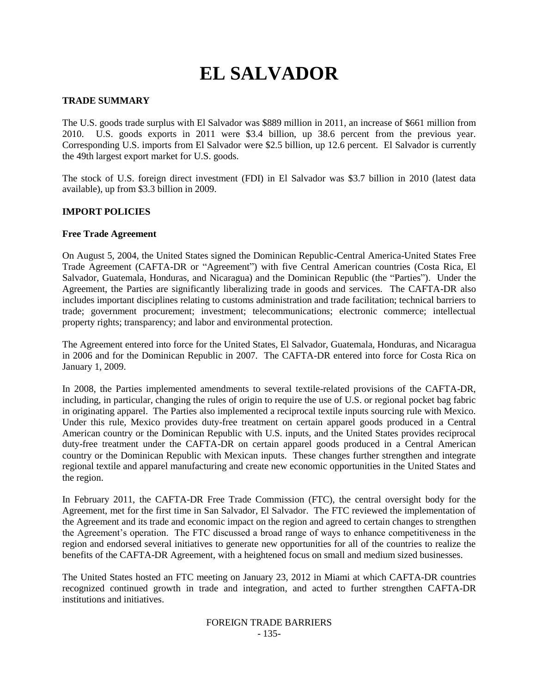# **EL SALVADOR**

## **TRADE SUMMARY**

The U.S. goods trade surplus with El Salvador was \$889 million in 2011, an increase of \$661 million from 2010. U.S. goods exports in 2011 were \$3.4 billion, up 38.6 percent from the previous year. Corresponding U.S. imports from El Salvador were \$2.5 billion, up 12.6 percent. El Salvador is currently the 49th largest export market for U.S. goods.

The stock of U.S. foreign direct investment (FDI) in El Salvador was \$3.7 billion in 2010 (latest data available), up from \$3.3 billion in 2009.

#### **IMPORT POLICIES**

#### **Free Trade Agreement**

On August 5, 2004, the United States signed the Dominican Republic-Central America-United States Free Trade Agreement (CAFTA-DR or "Agreement") with five Central American countries (Costa Rica, El Salvador, Guatemala, Honduras, and Nicaragua) and the Dominican Republic (the "Parties"). Under the Agreement, the Parties are significantly liberalizing trade in goods and services. The CAFTA-DR also includes important disciplines relating to customs administration and trade facilitation; technical barriers to trade; government procurement; investment; telecommunications; electronic commerce; intellectual property rights; transparency; and labor and environmental protection.

The Agreement entered into force for the United States, El Salvador, Guatemala, Honduras, and Nicaragua in 2006 and for the Dominican Republic in 2007. The CAFTA-DR entered into force for Costa Rica on January 1, 2009.

In 2008, the Parties implemented amendments to several textile-related provisions of the CAFTA-DR, including, in particular, changing the rules of origin to require the use of U.S. or regional pocket bag fabric in originating apparel. The Parties also implemented a reciprocal textile inputs sourcing rule with Mexico. Under this rule, Mexico provides duty-free treatment on certain apparel goods produced in a Central American country or the Dominican Republic with U.S. inputs, and the United States provides reciprocal duty-free treatment under the CAFTA-DR on certain apparel goods produced in a Central American country or the Dominican Republic with Mexican inputs. These changes further strengthen and integrate regional textile and apparel manufacturing and create new economic opportunities in the United States and the region.

In February 2011, the CAFTA-DR Free Trade Commission (FTC), the central oversight body for the Agreement, met for the first time in San Salvador, El Salvador. The FTC reviewed the implementation of the Agreement and its trade and economic impact on the region and agreed to certain changes to strengthen the Agreement"s operation. The FTC discussed a broad range of ways to enhance competitiveness in the region and endorsed several initiatives to generate new opportunities for all of the countries to realize the benefits of the CAFTA-DR Agreement, with a heightened focus on small and medium sized businesses.

The United States hosted an FTC meeting on January 23, 2012 in Miami at which CAFTA-DR countries recognized continued growth in trade and integration, and acted to further strengthen CAFTA-DR institutions and initiatives.

#### FOREIGN TRADE BARRIERS - 135-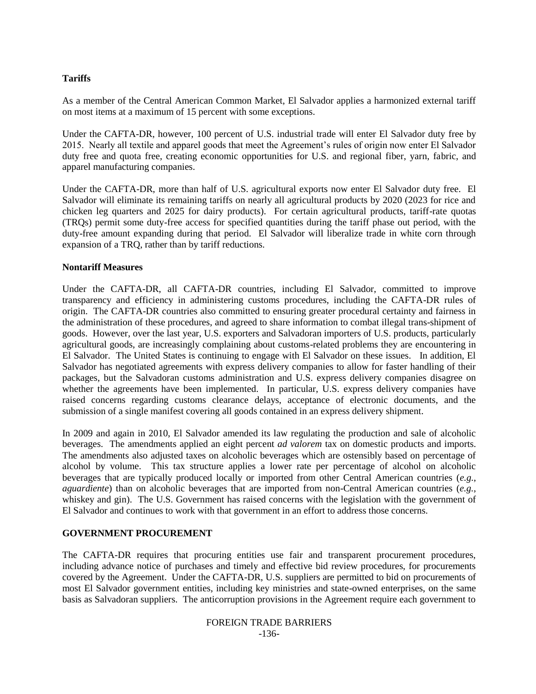## **Tariffs**

As a member of the Central American Common Market, El Salvador applies a harmonized external tariff on most items at a maximum of 15 percent with some exceptions.

Under the CAFTA-DR, however, 100 percent of U.S. industrial trade will enter El Salvador duty free by 2015. Nearly all textile and apparel goods that meet the Agreement"s rules of origin now enter El Salvador duty free and quota free, creating economic opportunities for U.S. and regional fiber, yarn, fabric, and apparel manufacturing companies.

Under the CAFTA-DR, more than half of U.S. agricultural exports now enter El Salvador duty free. El Salvador will eliminate its remaining tariffs on nearly all agricultural products by 2020 (2023 for rice and chicken leg quarters and 2025 for dairy products). For certain agricultural products, tariff-rate quotas (TRQs) permit some duty-free access for specified quantities during the tariff phase out period, with the duty-free amount expanding during that period. El Salvador will liberalize trade in white corn through expansion of a TRQ, rather than by tariff reductions.

#### **Nontariff Measures**

Under the CAFTA-DR, all CAFTA-DR countries, including El Salvador, committed to improve transparency and efficiency in administering customs procedures, including the CAFTA-DR rules of origin. The CAFTA-DR countries also committed to ensuring greater procedural certainty and fairness in the administration of these procedures, and agreed to share information to combat illegal trans-shipment of goods. However, over the last year, U.S. exporters and Salvadoran importers of U.S. products, particularly agricultural goods, are increasingly complaining about customs-related problems they are encountering in El Salvador. The United States is continuing to engage with El Salvador on these issues. In addition, El Salvador has negotiated agreements with express delivery companies to allow for faster handling of their packages, but the Salvadoran customs administration and U.S. express delivery companies disagree on whether the agreements have been implemented. In particular, U.S. express delivery companies have raised concerns regarding customs clearance delays, acceptance of electronic documents, and the submission of a single manifest covering all goods contained in an express delivery shipment.

In 2009 and again in 2010, El Salvador amended its law regulating the production and sale of alcoholic beverages. The amendments applied an eight percent *ad valorem* tax on domestic products and imports. The amendments also adjusted taxes on alcoholic beverages which are ostensibly based on percentage of alcohol by volume. This tax structure applies a lower rate per percentage of alcohol on alcoholic beverages that are typically produced locally or imported from other Central American countries (*e.g.*, *aguardiente*) than on alcoholic beverages that are imported from non-Central American countries (*e.g.*, whiskey and gin). The U.S. Government has raised concerns with the legislation with the government of El Salvador and continues to work with that government in an effort to address those concerns.

## **GOVERNMENT PROCUREMENT**

The CAFTA-DR requires that procuring entities use fair and transparent procurement procedures, including advance notice of purchases and timely and effective bid review procedures, for procurements covered by the Agreement. Under the CAFTA-DR, U.S. suppliers are permitted to bid on procurements of most El Salvador government entities, including key ministries and state-owned enterprises, on the same basis as Salvadoran suppliers. The anticorruption provisions in the Agreement require each government to

#### FOREIGN TRADE BARRIERS -136-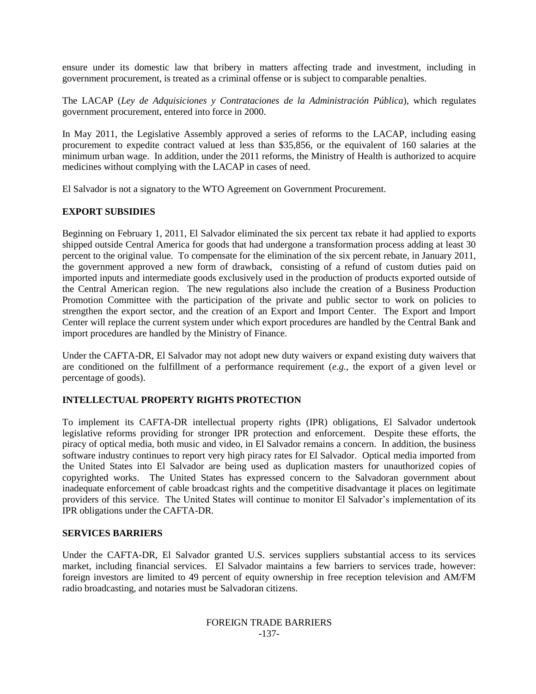ensure under its domestic law that bribery in matters affecting trade and investment, including in government procurement, is treated as a criminal offense or is subject to comparable penalties.

The LACAP (*Ley de Adquisiciones y Contrataciones de la Administración Pública*), which regulates government procurement, entered into force in 2000.

In May 2011, the Legislative Assembly approved a series of reforms to the LACAP, including easing procurement to expedite contract valued at less than \$35,856, or the equivalent of 160 salaries at the minimum urban wage. In addition, under the 2011 reforms, the Ministry of Health is authorized to acquire medicines without complying with the LACAP in cases of need.

El Salvador is not a signatory to the WTO Agreement on Government Procurement.

## **EXPORT SUBSIDIES**

Beginning on February 1, 2011, El Salvador eliminated the six percent tax rebate it had applied to exports shipped outside Central America for goods that had undergone a transformation process adding at least 30 percent to the original value. To compensate for the elimination of the six percent rebate, in January 2011, the government approved a new form of drawback, consisting of a refund of custom duties paid on imported inputs and intermediate goods exclusively used in the production of products exported outside of the Central American region. The new regulations also include the creation of a Business Production Promotion Committee with the participation of the private and public sector to work on policies to strengthen the export sector, and the creation of an Export and Import Center. The Export and Import Center will replace the current system under which export procedures are handled by the Central Bank and import procedures are handled by the Ministry of Finance.

Under the CAFTA-DR, El Salvador may not adopt new duty waivers or expand existing duty waivers that are conditioned on the fulfillment of a performance requirement (*e.g.*, the export of a given level or percentage of goods).

## **INTELLECTUAL PROPERTY RIGHTS PROTECTION**

To implement its CAFTA-DR intellectual property rights (IPR) obligations, El Salvador undertook legislative reforms providing for stronger IPR protection and enforcement. Despite these efforts, the piracy of optical media, both music and video, in El Salvador remains a concern. In addition, the business software industry continues to report very high piracy rates for El Salvador. Optical media imported from the United States into El Salvador are being used as duplication masters for unauthorized copies of copyrighted works. The United States has expressed concern to the Salvadoran government about inadequate enforcement of cable broadcast rights and the competitive disadvantage it places on legitimate providers of this service. The United States will continue to monitor El Salvador's implementation of its IPR obligations under the CAFTA-DR.

## **SERVICES BARRIERS**

Under the CAFTA-DR, El Salvador granted U.S. services suppliers substantial access to its services market, including financial services. El Salvador maintains a few barriers to services trade, however: foreign investors are limited to 49 percent of equity ownership in free reception television and AM/FM radio broadcasting, and notaries must be Salvadoran citizens.